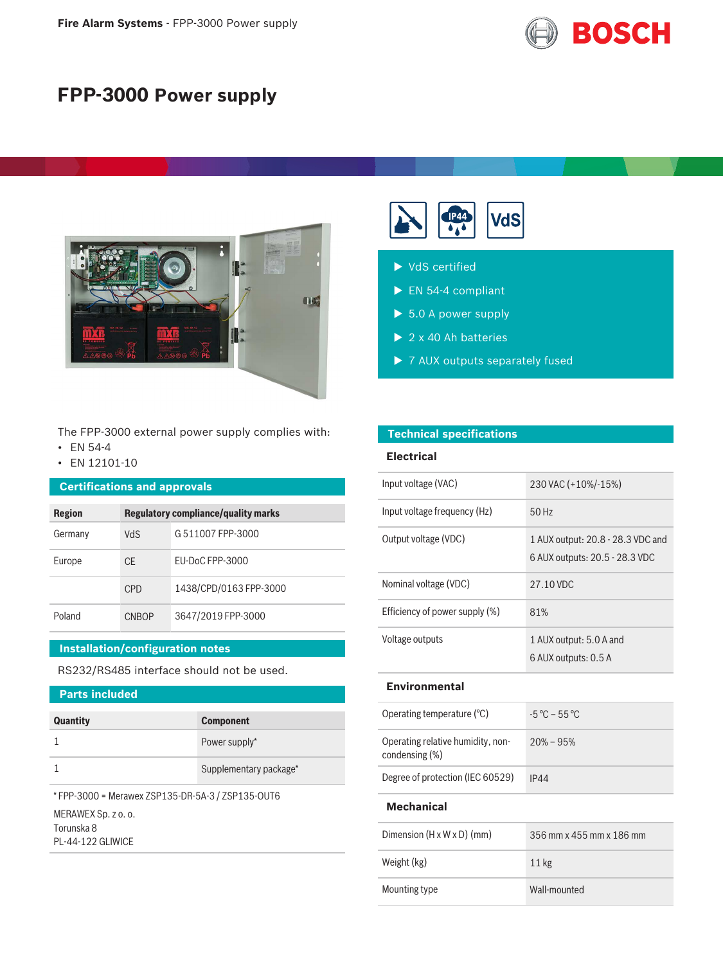

# **FPP-3000 Power supply**



The FPP-3000 external power supply complies with:

- EN 54-4
- EN 12101-10

#### **Certifications and approvals**

| Region  | <b>Regulatory compliance/quality marks</b> |                        |
|---------|--------------------------------------------|------------------------|
| Germany | VdS                                        | G 511007 FPP-3000      |
| Europe  | CF.                                        | FU-DoC FPP-3000        |
|         | CPD                                        | 1438/CPD/0163 FPP-3000 |
| Poland  | CNBOP                                      | 3647/2019 FPP-3000     |

#### **Installation/configuration notes**

RS232/RS485 interface should not be used.

### **Parts included**

| <b>Quantity</b> | <b>Component</b>       |
|-----------------|------------------------|
|                 | Power supply*          |
|                 | Supplementary package* |
|                 |                        |

\* FPP-3000 = Merawex ZSP135-DR-5A-3 / ZSP135-OUT6 MERAWEX Sp. z o. o. Torunska 8 PL-44-122 GLIWICE

|--|--|--|

|  | $\blacktriangleright$ VdS certified |
|--|-------------------------------------|
|  |                                     |
|  |                                     |

- $\blacktriangleright$  EN 54-4 compliant
- $\blacktriangleright$  5.0 A power supply
- $\triangleright$  2 x 40 Ah batteries

**Technical specifications**

 $\triangleright$  7 AUX outputs separately fused

| <b>Electrical</b>                                   |                                                                     |
|-----------------------------------------------------|---------------------------------------------------------------------|
| Input voltage (VAC)                                 | 230 VAC (+10%/-15%)                                                 |
| Input voltage frequency (Hz)                        | 50 Hz                                                               |
| Output voltage (VDC)                                | 1 AUX output: 20.8 - 28.3 VDC and<br>6 AUX outputs: 20.5 - 28.3 VDC |
| Nominal voltage (VDC)                               | 27.10 VDC                                                           |
| Efficiency of power supply (%)                      | 81%                                                                 |
| Voltage outputs                                     | 1 AUX output: 5.0 A and<br>6 AUX outputs: 0.5 A                     |
| <b>Environmental</b>                                |                                                                     |
| Operating temperature (°C)                          | $-5^{\circ}$ C – 55 °C                                              |
| Operating relative humidity, non-<br>condensing (%) | $20\% - 95\%$                                                       |
| Degree of protection (IEC 60529)                    | <b>IP44</b>                                                         |

#### **Mechanical**

| Dimension $(H \times W \times D)$ (mm) | 356 mm x 455 mm x 186 mm |
|----------------------------------------|--------------------------|
| Weight (kg)                            | $11 \text{ kg}$          |
| Mounting type                          | Wall-mounted             |